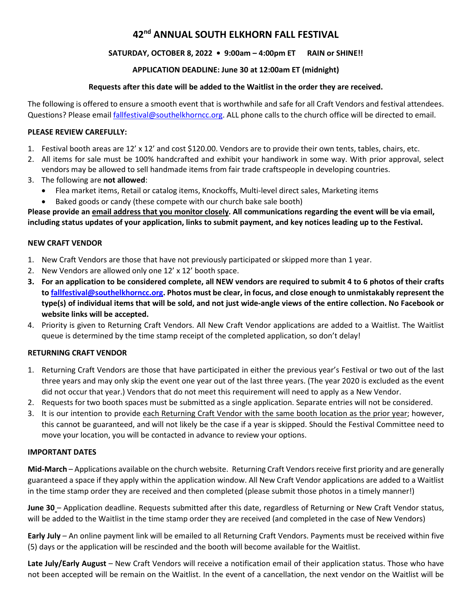# **42nd ANNUAL SOUTH ELKHORN FALL FESTIVAL**

# **SATURDAY, OCTOBER 8, 2022 • 9:00am – 4:00pm ET RAIN or SHINE!!**

# **APPLICATION DEADLINE: June 30 at 12:00am ET (midnight)**

### **Requests after this date will be added to the Waitlist in the order they are received.**

The following is offered to ensure a smooth event that is worthwhile and safe for all Craft Vendors and festival attendees. Questions? Please email [fallfestival@southelkhorncc.org.](mailto:fallfestival@southelkhorncc.org) ALL phone calls to the church office will be directed to email.

### **PLEASE REVIEW CAREFULLY:**

- 1. Festival booth areas are 12' x 12' and cost \$120.00. Vendors are to provide their own tents, tables, chairs, etc.
- 2. All items for sale must be 100% handcrafted and exhibit your handiwork in some way. With prior approval, select vendors may be allowed to sell handmade items from fair trade craftspeople in developing countries.
- 3. The following are **not allowed**:
	- Flea market items, Retail or catalog items, Knockoffs, Multi-level direct sales, Marketing items
	- Baked goods or candy (these compete with our church bake sale booth)

**Please provide an email address that you monitor closely. All communications regarding the event will be via email, including status updates of your application, links to submit payment, and key notices leading up to the Festival.**

#### **NEW CRAFT VENDOR**

- 1. New Craft Vendors are those that have not previously participated or skipped more than 1 year.
- 2. New Vendors are allowed only one 12' x 12' booth space.
- **3. For an application to be considered complete, all NEW vendors are required to submit 4 to 6 photos of their crafts to [fallfestival@southelkhorncc.org.](mailto:fallfestival@southelkhorncc.org) Photos must be clear, in focus, and close enough to unmistakably represent the type(s) of individual items that will be sold, and not just wide-angle views of the entire collection. No Facebook or website links will be accepted.**
- 4. Priority is given to Returning Craft Vendors. All New Craft Vendor applications are added to a Waitlist. The Waitlist queue is determined by the time stamp receipt of the completed application, so don't delay!

## **RETURNING CRAFT VENDOR**

- 1. Returning Craft Vendors are those that have participated in either the previous year's Festival or two out of the last three years and may only skip the event one year out of the last three years. (The year 2020 is excluded as the event did not occur that year.) Vendors that do not meet this requirement will need to apply as a New Vendor.
- 2. Requests for two booth spaces must be submitted as a single application. Separate entries will not be considered.
- 3. It is our intention to provide each Returning Craft Vendor with the same booth location as the prior year; however, this cannot be guaranteed, and will not likely be the case if a year is skipped. Should the Festival Committee need to move your location, you will be contacted in advance to review your options.

#### **IMPORTANT DATES**

**Mid-March** – Applications available on the church website. Returning Craft Vendorsreceive first priority and are generally guaranteed a space if they apply within the application window. All New Craft Vendor applications are added to a Waitlist in the time stamp order they are received and then completed (please submit those photos in a timely manner!)

**June 30** – Application deadline. Requests submitted after this date, regardless of Returning or New Craft Vendor status, will be added to the Waitlist in the time stamp order they are received (and completed in the case of New Vendors)

**Early July** – An online payment link will be emailed to all Returning Craft Vendors. Payments must be received within five (5) days or the application will be rescinded and the booth will become available for the Waitlist.

**Late July/Early August** – New Craft Vendors will receive a notification email of their application status. Those who have not been accepted will be remain on the Waitlist. In the event of a cancellation, the next vendor on the Waitlist will be